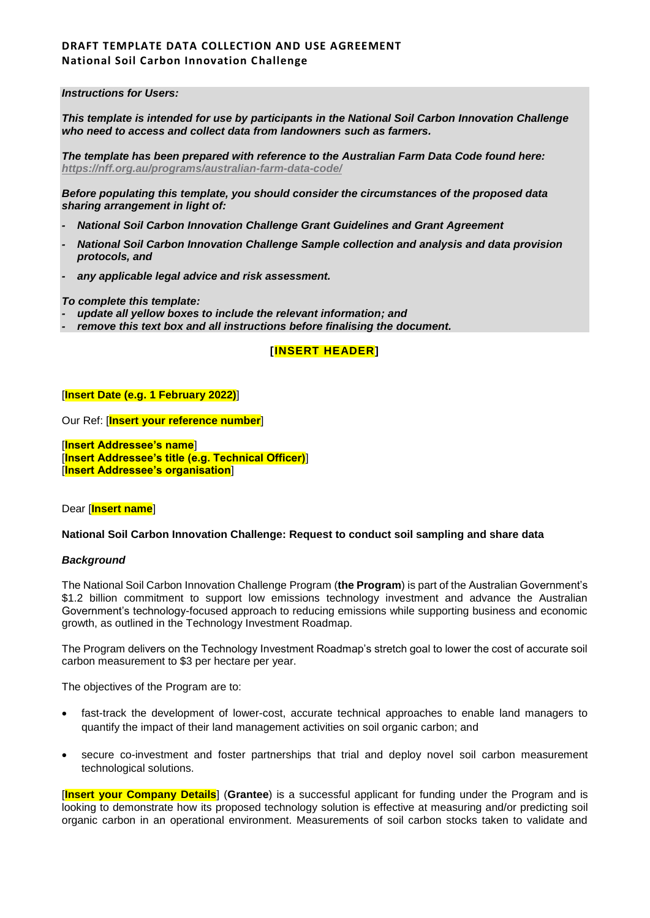### *Instructions for Users:*

*This template is intended for use by participants in the National Soil Carbon Innovation Challenge who need to access and collect data from landowners such as farmers.*

*The template has been prepared with reference to the Australian Farm Data Code found here: <https://nff.org.au/programs/australian-farm-data-code/>*

*Before populating this template, you should consider the circumstances of the proposed data sharing arrangement in light of:*

- *- National Soil Carbon Innovation Challenge Grant Guidelines and Grant Agreement*
- *- National Soil Carbon Innovation Challenge Sample collection and analysis and data provision protocols, and*
- *- any applicable legal advice and risk assessment.*

*To complete this template:*

- *- update all yellow boxes to include the relevant information; and*
- *- remove this text box and all instructions before finalising the document.*

## **[INSERT HEADER]**

#### [**Insert Date (e.g. 1 February 2022)**]

Our Ref: [**Insert your reference number**]

[**Insert Addressee's name**] [**Insert Addressee's title (e.g. Technical Officer)**] [**Insert Addressee's organisation**]

Dear [**Insert name**]

#### **National Soil Carbon Innovation Challenge: Request to conduct soil sampling and share data**

#### *Background*

The National Soil Carbon Innovation Challenge Program (**the Program**) is part of the Australian Government's \$1.2 billion commitment to support low emissions technology investment and advance the Australian Government's technology-focused approach to reducing emissions while supporting business and economic growth, as outlined in the Technology Investment Roadmap.

The Program delivers on the Technology Investment Roadmap's stretch goal to lower the cost of accurate soil carbon measurement to \$3 per hectare per year.

The objectives of the Program are to:

- fast-track the development of lower-cost, accurate technical approaches to enable land managers to quantify the impact of their land management activities on soil organic carbon; and
- secure co-investment and foster partnerships that trial and deploy novel soil carbon measurement technological solutions.

[**Insert your Company Details**] (**Grantee**) is a successful applicant for funding under the Program and is looking to demonstrate how its proposed technology solution is effective at measuring and/or predicting soil organic carbon in an operational environment. Measurements of soil carbon stocks taken to validate and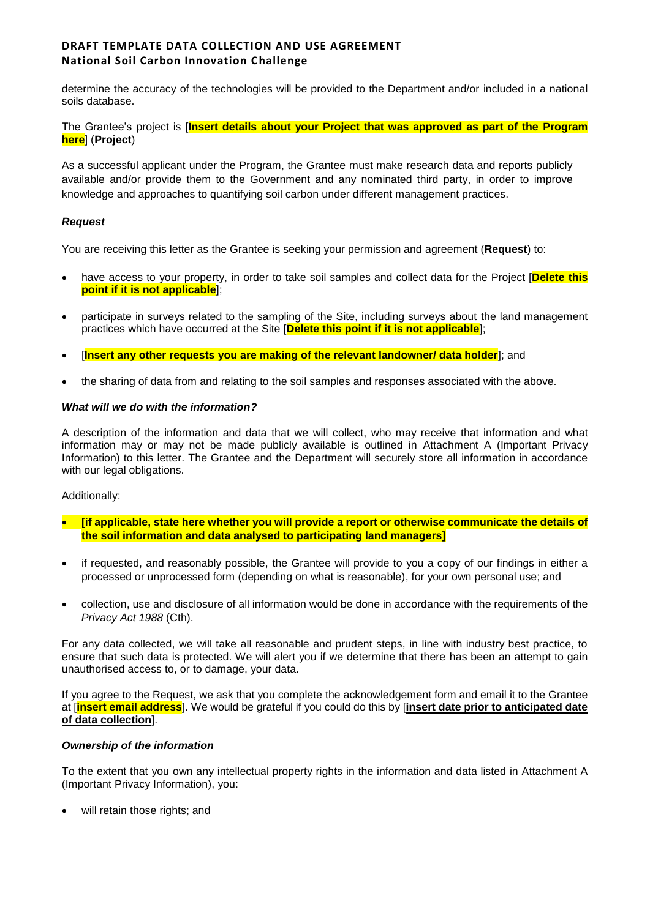determine the accuracy of the technologies will be provided to the Department and/or included in a national soils database.

The Grantee's project is [**Insert details about your Project that was approved as part of the Program here**] (**Project**)

As a successful applicant under the Program, the Grantee must make research data and reports publicly available and/or provide them to the Government and any nominated third party, in order to improve knowledge and approaches to quantifying soil carbon under different management practices.

## *Request*

You are receiving this letter as the Grantee is seeking your permission and agreement (**Request**) to:

- have access to your property, in order to take soil samples and collect data for the Project [**Delete this point if it is not applicable**];
- participate in surveys related to the sampling of the Site, including surveys about the land management practices which have occurred at the Site [**Delete this point if it is not applicable**];
- **[Insert any other requests you are making of the relevant landowner/ data holder**]; and
- the sharing of data from and relating to the soil samples and responses associated with the above.

## *What will we do with the information?*

A description of the information and data that we will collect, who may receive that information and what information may or may not be made publicly available is outlined in Attachment A (Important Privacy Information) to this letter. The Grantee and the Department will securely store all information in accordance with our legal obligations.

#### Additionally:

- **[if applicable, state here whether you will provide a report or otherwise communicate the details of the soil information and data analysed to participating land managers]**
- if requested, and reasonably possible, the Grantee will provide to you a copy of our findings in either a processed or unprocessed form (depending on what is reasonable), for your own personal use; and
- collection, use and disclosure of all information would be done in accordance with the requirements of the *Privacy Act 1988* (Cth).

For any data collected, we will take all reasonable and prudent steps, in line with industry best practice, to ensure that such data is protected. We will alert you if we determine that there has been an attempt to gain unauthorised access to, or to damage, your data.

If you agree to the Request, we ask that you complete the acknowledgement form and email it to the Grantee at [**insert email address**]. We would be grateful if you could do this by [**insert date prior to anticipated date of data collection**].

## *Ownership of the information*

To the extent that you own any intellectual property rights in the information and data listed in Attachment A (Important Privacy Information), you:

will retain those rights; and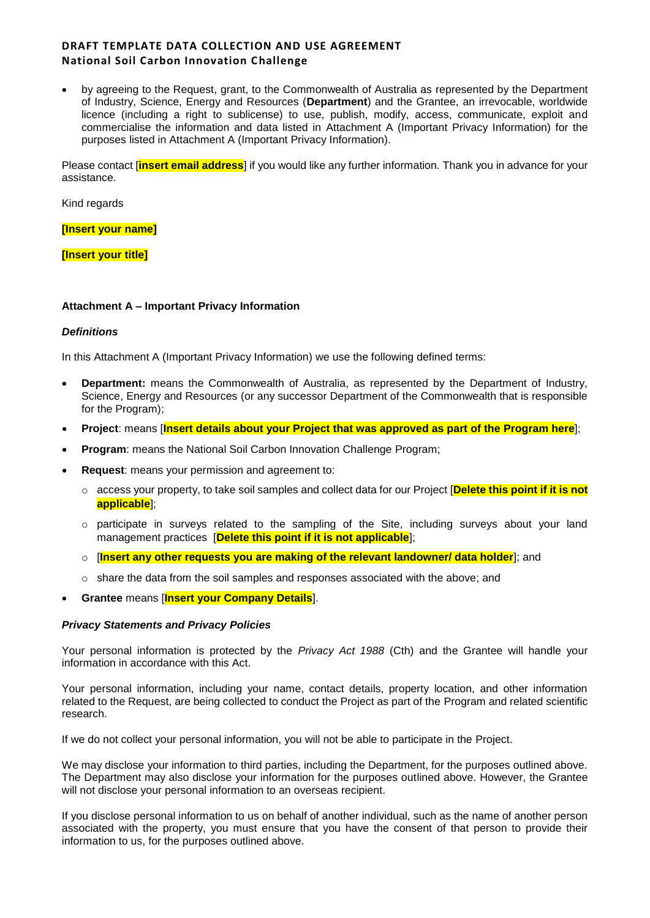by agreeing to the Request, grant, to the Commonwealth of Australia as represented by the Department of Industry, Science, Energy and Resources (**Department**) and the Grantee, an irrevocable, worldwide licence (including a right to sublicense) to use, publish, modify, access, communicate, exploit and commercialise the information and data listed in Attachment A (Important Privacy Information) for the purposes listed in Attachment A (Important Privacy Information).

Please contact [**insert email address**] if you would like any further information. Thank you in advance for your assistance.

Kind regards

**[Insert your name]**

**[Insert your title]**

## **Attachment A – Important Privacy Information**

### *Definitions*

In this Attachment A (Important Privacy Information) we use the following defined terms:

- **Department:** means the Commonwealth of Australia, as represented by the Department of Industry, Science, Energy and Resources (or any successor Department of the Commonwealth that is responsible for the Program);
- **Project**: means [**Insert details about your Project that was approved as part of the Program here**];
- **Program**: means the National Soil Carbon Innovation Challenge Program;
- **Request**: means your permission and agreement to:
	- o access your property, to take soil samples and collect data for our Project [**Delete this point if it is not applicable**];
	- $\circ$  participate in surveys related to the sampling of the Site, including surveys about your land management practices [**Delete this point if it is not applicable**];
	- o [**Insert any other requests you are making of the relevant landowner/ data holder**]; and
	- o share the data from the soil samples and responses associated with the above; and
- **Grantee** means [**Insert your Company Details**].

#### *Privacy Statements and Privacy Policies*

Your personal information is protected by the *Privacy Act 1988* (Cth) and the Grantee will handle your information in accordance with this Act.

Your personal information, including your name, contact details, property location, and other information related to the Request, are being collected to conduct the Project as part of the Program and related scientific research.

If we do not collect your personal information, you will not be able to participate in the Project.

We may disclose your information to third parties, including the Department, for the purposes outlined above. The Department may also disclose your information for the purposes outlined above. However, the Grantee will not disclose your personal information to an overseas recipient.

If you disclose personal information to us on behalf of another individual, such as the name of another person associated with the property, you must ensure that you have the consent of that person to provide their information to us, for the purposes outlined above.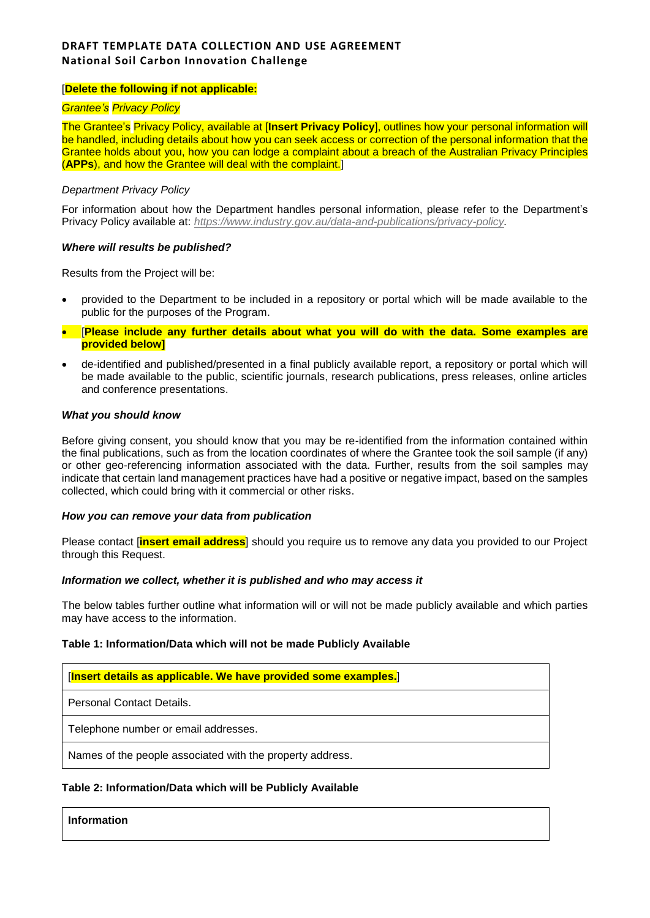## [**Delete the following if not applicable:**

### *Grantee's Privacy Policy*

The Grantee's Privacy Policy, available at [**Insert Privacy Policy**], outlines how your personal information will be handled, including details about how you can seek access or correction of the personal information that the Grantee holds about you, how you can lodge a complaint about a breach of the Australian Privacy Principles (**APPs**), and how the Grantee will deal with the complaint.]

#### *Department Privacy Policy*

For information about how the Department handles personal information, please refer to the Department's Privacy Policy available at: *[https://www.industry.gov.au/data-and-publications/privacy-policy.](https://www.industry.gov.au/data-and-publications/privacy-policy)*

#### *Where will results be published?*

Results from the Project will be:

- provided to the Department to be included in a repository or portal which will be made available to the public for the purposes of the Program.
- [**Please include any further details about what you will do with the data. Some examples are provided below]**
- de-identified and published/presented in a final publicly available report, a repository or portal which will be made available to the public, scientific journals, research publications, press releases, online articles and conference presentations.

#### *What you should know*

Before giving consent, you should know that you may be re-identified from the information contained within the final publications, such as from the location coordinates of where the Grantee took the soil sample (if any) or other geo-referencing information associated with the data. Further, results from the soil samples may indicate that certain land management practices have had a positive or negative impact, based on the samples collected, which could bring with it commercial or other risks.

#### *How you can remove your data from publication*

Please contact [**[insert](mailto:Hannah.Jenkins@agriculture.gov.au) email address**] should you require us to remove any data you provided to our Project through this Request.

### *Information we collect, whether it is published and who may access it*

The below tables further outline what information will or will not be made publicly available and which parties may have access to the information.

#### **Table 1: Information/Data which will not be made Publicly Available**

| [Insert details as applicable. We have provided some examples.] |  |
|-----------------------------------------------------------------|--|
| Personal Contact Details.                                       |  |
| Telephone number or email addresses.                            |  |
| Names of the people associated with the property address.       |  |
|                                                                 |  |

### **Table 2: Information/Data which will be Publicly Available**

**Information**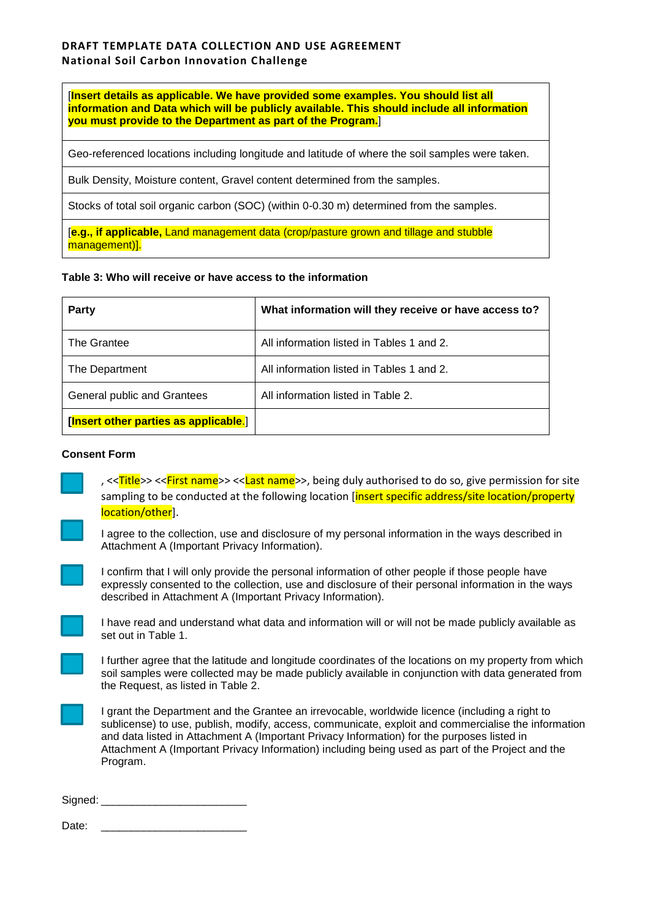[**Insert details as applicable. We have provided some examples. You should list all information and Data which will be publicly available. This should include all information you must provide to the Department as part of the Program.**]

Geo-referenced locations including longitude and latitude of where the soil samples were taken.

Bulk Density, Moisture content, Gravel content determined from the samples.

Stocks of total soil organic carbon (SOC) (within 0-0.30 m) determined from the samples.

[**e.g., if applicable,** Land management data (crop/pasture grown and tillage and stubble management)].

# **Table 3: Who will receive or have access to the information**

| Party                                 | What information will they receive or have access to? |
|---------------------------------------|-------------------------------------------------------|
| The Grantee                           | All information listed in Tables 1 and 2.             |
| The Department                        | All information listed in Tables 1 and 2.             |
| General public and Grantees           | All information listed in Table 2.                    |
| [Insert other parties as applicable.] |                                                       |

### **Consent Form**

, <<Title>> <<First name>> <<Last name>>, being duly authorised to do so, give permission for site sampling to be conducted at the following location *[insert specific address/site location/property* location/other].



I agree to the collection, use and disclosure of my personal information in the ways described in Attachment A (Important Privacy Information).



I confirm that I will only provide the personal information of other people if those people have expressly consented to the collection, use and disclosure of their personal information in the ways described in Attachment A (Important Privacy Information).



I have read and understand what data and information will or will not be made publicly available as set out in Table 1.

I further agree that the latitude and longitude coordinates of the locations on my property from which soil samples were collected may be made publicly available in conjunction with data generated from the Request, as listed in Table 2.

I grant the Department and the Grantee an irrevocable, worldwide licence (including a right to sublicense) to use, publish, modify, access, communicate, exploit and commercialise the information and data listed in Attachment A (Important Privacy Information) for the purposes listed in Attachment A (Important Privacy Information) including being used as part of the Project and the Program.

Signed: \_\_\_\_\_\_\_\_\_\_\_\_\_\_\_\_\_\_\_\_\_\_\_\_

Date:  $\Box$